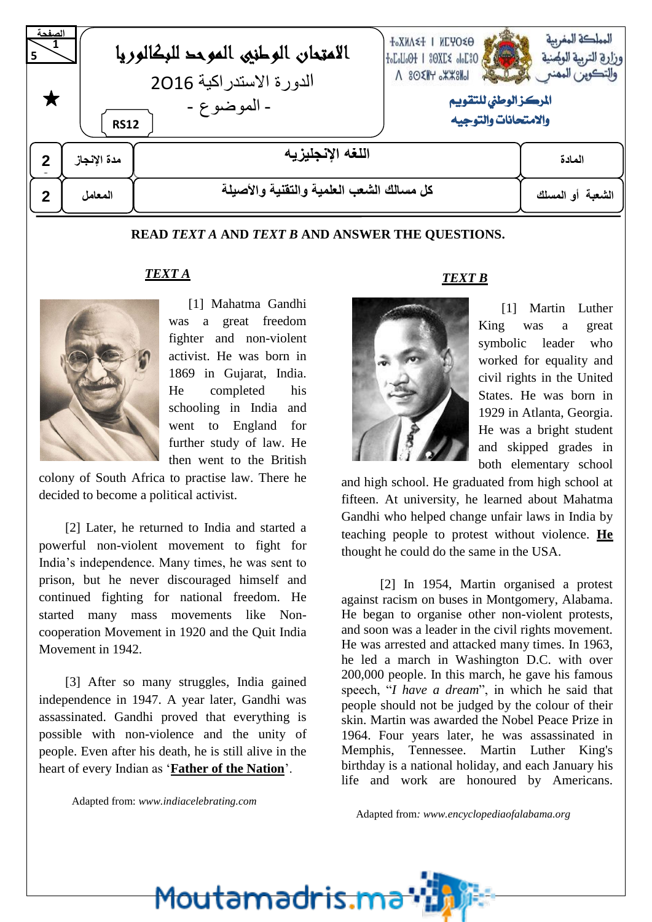| الصفحة      | <b>RS12</b>                                                             | الامتحان الوطني الموحد للبكالوريا<br>الدورة الاستدر اكية 2016<br>- الموضوع - | <b>T°XNV≤I   NCAO≤O</b><br>OSJOG >JKGS   HOGUGA<br>$\Lambda$ 80 $\times$ $H$ $\times$ $\times$ $H$<br>المركز الوطنى للتقويم<br>والامتحانات والتوجيه | المملكة المغربية<br>وزارة التربية الولهنية<br>والتكوين المهنع |
|-------------|-------------------------------------------------------------------------|------------------------------------------------------------------------------|-----------------------------------------------------------------------------------------------------------------------------------------------------|---------------------------------------------------------------|
| مدة الإنجاز |                                                                         | اللغه الإنجليزيه                                                             |                                                                                                                                                     | المادة                                                        |
| $\mathbf 2$ | كل مسالك الشعب العلمية والتقنية والأصيلة<br>الشعبة أو المسلك<br>المعامل |                                                                              |                                                                                                                                                     |                                                               |

#### **READ** *TEXT A* **AND** *TEXT B* **AND ANSWER THE QUESTIONS.**

#### *TEXT A*



 [1] Mahatma Gandhi was a great freedom fighter and non-violent activist. He was born in 1869 in Gujarat, India. He completed his schooling in India and went to England for further study of law. He then went to the British

colony of South Africa to practise law. There he decided to become a political activist.

 [2] Later, he returned to India and started a powerful non-violent movement to fight for India's independence. Many times, he was sent to prison, but he never discouraged himself and continued fighting for national freedom. He started many mass movements like Noncooperation Movement in 1920 and the Quit India Movement in 1942.

 [3] After so many struggles, India gained independence in 1947. A year later, Gandhi was assassinated. Gandhi proved that everything is possible with non-violence and the unity of people. Even after his death, he is still alive in the heart of every Indian as '**Father of the Nation**'.

#### *TEXT B*



[1] Martin Luther King was a great symbolic leader who worked for equality and civil rights in the United States. He was born in 1929 in Atlanta, Georgia. He was a bright student and skipped grades in both elementary school

and high school. He graduated from high school at fifteen. At university, he learned about Mahatma Gandhi who helped change unfair laws in India by teaching people to protest without violence. **He** thought he could do the same in the USA.

[2] In 1954, Martin organised a protest against racism on buses in Montgomery, Alabama. He began to organise other non-violent protests, and soon was a leader in the civil rights movement. He was arrested and attacked many times. In 1963, he led a march in Washington D.C. with over 200,000 people. In this march, he gave his famous speech, "*I have a dream*", in which he said that people should not be judged by the colour of their skin. Martin was awarded the Nobel Peace Prize in 1964. Four years later, he was assassinated in Memphis, Tennessee. Martin Luther King's birthday is a national holiday, and each January his life and work are honoured by Americans.

Adapted from*: www.encyclopediaofalabama.org*

Adapted from: *[www.indiacelebrating.com](http://www.indiacelebrating.com/)*

<u>Moutamadris.m</u>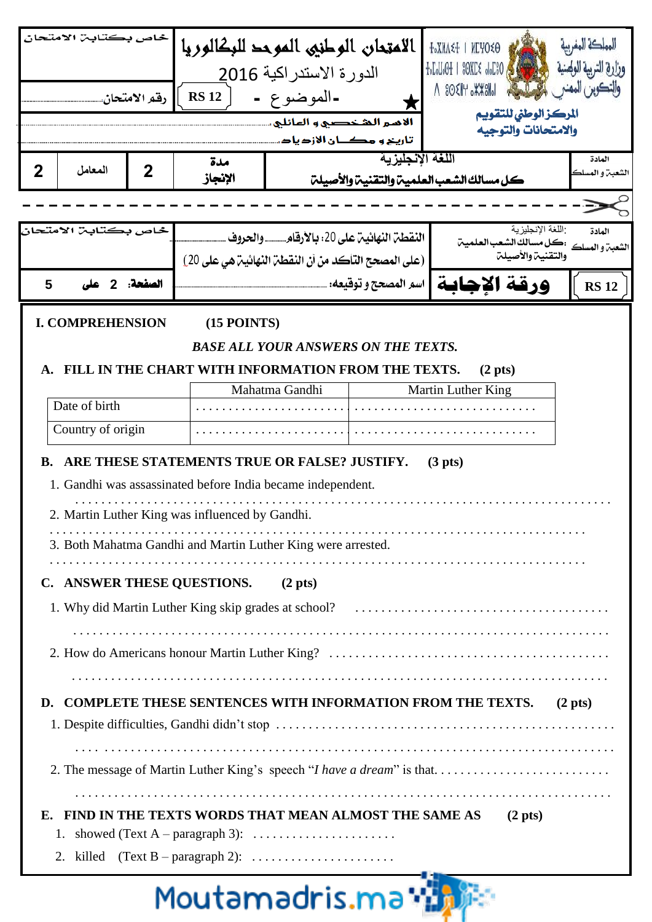| خاص بكتابن الامتحان                                                                         |                                    | الامتحان الوطني الموحد للبكالوريا<br><b>+°XNV≤+   NCAO≤0</b> |                                                              |                                            |                      |                                                                                                      |                           |
|---------------------------------------------------------------------------------------------|------------------------------------|--------------------------------------------------------------|--------------------------------------------------------------|--------------------------------------------|----------------------|------------------------------------------------------------------------------------------------------|---------------------------|
|                                                                                             |                                    |                                                              |                                                              | الدورة الاستدر اكية 2016                   |                      | $+$ <sub>0</sub> $L$ <sub>0</sub> $U$ <sub>0</sub> $+$ 1 $80$ X $L$ $\leq$ $0$ <sub>0</sub> $L$ $30$ |                           |
| رقم الامتحان.                                                                               |                                    |                                                              | <b>RS 12</b>                                                 | -الموضوع -                                 |                      | $\Lambda$ 80 $\times$ $K$ $\rightarrow$ $K$                                                          |                           |
|                                                                                             |                                    |                                                              |                                                              | الأمير الشخصير و الهائلي.                  |                      | المركز الوطنى للتقويم                                                                                |                           |
|                                                                                             |                                    |                                                              |                                                              | تأرينح و مكــان الأزدياد                   |                      | والامتحانات والتوجيه                                                                                 |                           |
| $\mathbf 2$                                                                                 | المعامل                            | $\mathbf 2$                                                  | مدة                                                          |                                            | اللغة الانجليزية     |                                                                                                      | المادة                    |
|                                                                                             |                                    |                                                              | الإنجاز                                                      |                                            |                      | كل مسالك الشعب العلمية والتقنية والأصيلة                                                             |                           |
|                                                                                             |                                    |                                                              |                                                              |                                            |                      |                                                                                                      |                           |
|                                                                                             | خاص بكتابـ، الامتحان               |                                                              |                                                              | النقطن النهائين على 20: بالأرقام والحروف   |                      | اللغة الإنجليزية<br>:كل مسالك الشعب العلمين                                                          | المادة<br>الشعبن و المسلك |
|                                                                                             |                                    |                                                              | (على المصحح التآكد من أن النقطة النهائية هي على 20)          |                                            |                      | والتقنية والأصيلة                                                                                    |                           |
| 5                                                                                           |                                    | الصفحة: 2                                                    |                                                              |                                            | اسم المصحح و توقيعه: | ورقة الاحابة                                                                                         | <b>RS 12</b>              |
|                                                                                             | <b>I. COMPREHENSION</b>            |                                                              | $(15$ POINTS)                                                |                                            |                      |                                                                                                      |                           |
|                                                                                             |                                    |                                                              |                                                              | <b>BASE ALL YOUR ANSWERS ON THE TEXTS.</b> |                      |                                                                                                      |                           |
|                                                                                             |                                    |                                                              | FILL IN THE CHART WITH INFORMATION FROM THE TEXTS.           |                                            |                      | (2 <sub>p</sub> ts)                                                                                  |                           |
|                                                                                             |                                    |                                                              |                                                              | Mahatma Gandhi                             | Martin Luther King   |                                                                                                      |                           |
|                                                                                             | Date of birth                      |                                                              |                                                              |                                            |                      |                                                                                                      |                           |
|                                                                                             | Country of origin                  |                                                              |                                                              |                                            |                      |                                                                                                      |                           |
| <b>B.</b>                                                                                   |                                    |                                                              | ARE THESE STATEMENTS TRUE OR FALSE? JUSTIFY.                 |                                            |                      | (3 <sub>p</sub> its)                                                                                 |                           |
|                                                                                             |                                    |                                                              | 1. Gandhi was assassinated before India became independent.  |                                            |                      |                                                                                                      |                           |
|                                                                                             |                                    |                                                              | 2. Martin Luther King was influenced by Gandhi.              |                                            |                      |                                                                                                      |                           |
|                                                                                             |                                    |                                                              |                                                              |                                            |                      |                                                                                                      |                           |
|                                                                                             |                                    |                                                              | 3. Both Mahatma Gandhi and Martin Luther King were arrested. |                                            |                      |                                                                                                      |                           |
|                                                                                             | C. ANSWER THESE QUESTIONS. (2 pts) |                                                              |                                                              |                                            |                      |                                                                                                      |                           |
|                                                                                             |                                    |                                                              |                                                              |                                            |                      |                                                                                                      |                           |
|                                                                                             |                                    |                                                              |                                                              |                                            |                      |                                                                                                      |                           |
|                                                                                             |                                    |                                                              |                                                              |                                            |                      |                                                                                                      |                           |
|                                                                                             |                                    |                                                              |                                                              |                                            |                      |                                                                                                      |                           |
| <b>COMPLETE THESE SENTENCES WITH INFORMATION FROM THE TEXTS.</b><br>D.<br>$(2 \text{ pts})$ |                                    |                                                              |                                                              |                                            |                      |                                                                                                      |                           |
|                                                                                             |                                    |                                                              |                                                              |                                            |                      |                                                                                                      |                           |
|                                                                                             |                                    |                                                              |                                                              |                                            |                      |                                                                                                      |                           |
| 2. The message of Martin Luther King's speech "I have a dream" is that                      |                                    |                                                              |                                                              |                                            |                      |                                                                                                      |                           |
|                                                                                             |                                    |                                                              |                                                              |                                            |                      |                                                                                                      |                           |
| E. FIND IN THE TEXTS WORDS THAT MEAN ALMOST THE SAME AS<br>$(2 \text{ pts})$                |                                    |                                                              |                                                              |                                            |                      |                                                                                                      |                           |
|                                                                                             |                                    |                                                              |                                                              |                                            |                      |                                                                                                      |                           |
|                                                                                             |                                    |                                                              |                                                              |                                            |                      |                                                                                                      |                           |

# Moutamadris.ma · 出版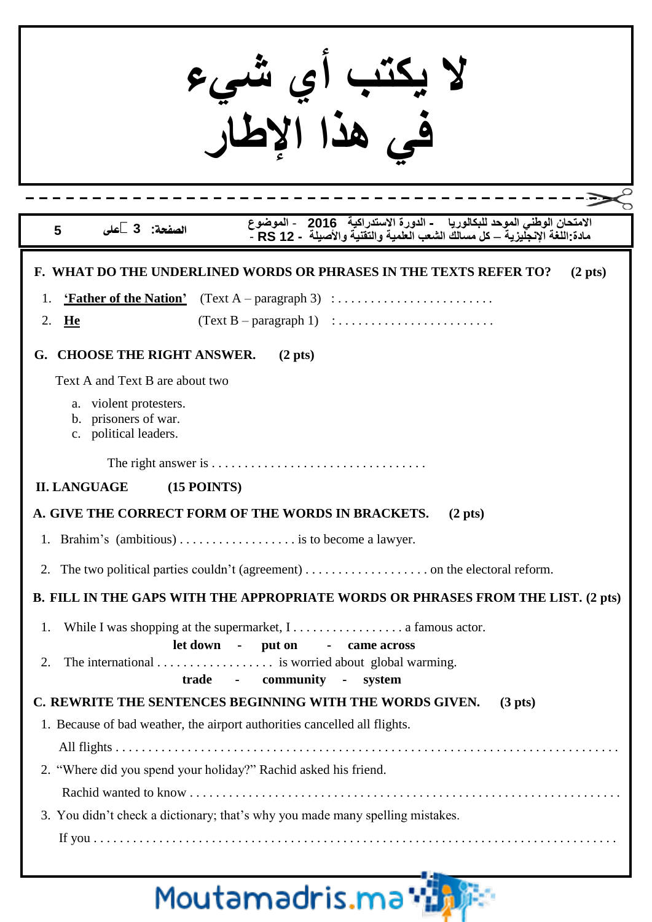| الامتحان الوطني الموحد للبكالوريا     - الدورة الاستدراكية   2016    - الموضوع<br>مادة اللغة الإنجليزية – كل مسالك الشعب العلمية والتقنية والأصيلة  - RS 12<br>الصفحة: 3 على<br>5                                                                                                                                |  |  |  |  |
|------------------------------------------------------------------------------------------------------------------------------------------------------------------------------------------------------------------------------------------------------------------------------------------------------------------|--|--|--|--|
| F. WHAT DO THE UNDERLINED WORDS OR PHRASES IN THE TEXTS REFER TO?<br>$(2 \text{ pts})$<br>2.<br>He                                                                                                                                                                                                               |  |  |  |  |
| <b>CHOOSE THE RIGHT ANSWER.</b><br>G.<br>$(2 \text{ pts})$<br>Text A and Text B are about two<br>a. violent protesters.<br>b. prisoners of war.<br>c. political leaders.                                                                                                                                         |  |  |  |  |
| <b>II. LANGUAGE</b><br>$(15$ POINTS)                                                                                                                                                                                                                                                                             |  |  |  |  |
| A. GIVE THE CORRECT FORM OF THE WORDS IN BRACKETS.<br>$(2 \text{ pts})$<br>1. Brahim's (ambitious)  is to become a lawyer.<br>2.<br>B. FILL IN THE GAPS WITH THE APPROPRIATE WORDS OR PHRASES FROM THE LIST. (2 pts)                                                                                             |  |  |  |  |
| While I was shopping at the supermarket, $1, \ldots, \ldots, \ldots, \ldots$ a famous actor.<br>1.<br>let down - put on - came across<br>The international $\dots \dots \dots \dots$ is worried about global warming.<br>2.<br>trade - community - system                                                        |  |  |  |  |
| C. REWRITE THE SENTENCES BEGINNING WITH THE WORDS GIVEN.<br>(3 <sub>p</sub> ts)<br>1. Because of bad weather, the airport authorities cancelled all flights.<br>2. "Where did you spend your holiday?" Rachid asked his friend.<br>3. You didn't check a dictionary; that's why you made many spelling mistakes. |  |  |  |  |

# Moutamadris.ma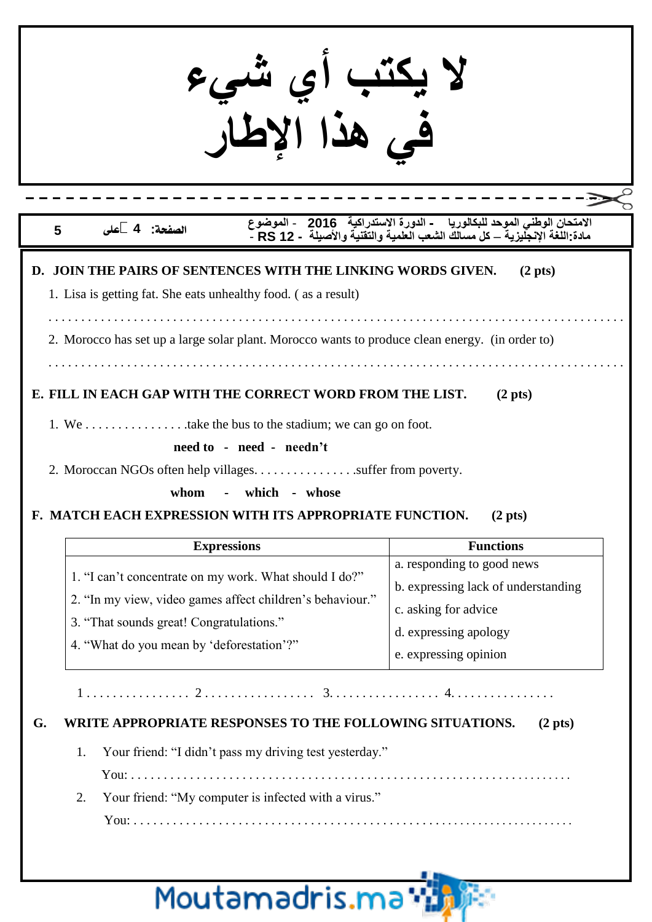**ال يكتب أي شيء في هذا اإلطار**

#### **الصفحة: 4 على 5**

**االمتحان الوطني الموحد للبكالوريا - الدورة االتستدرايية 2016** - **الموضوعمادة:اللغة اإلنجليزية** – **يل مسالك الشعب العلمية والتقنية واألصيلة - 12 RS** -

#### **D. JOIN THE PAIRS OF SENTENCES WITH THE LINKING WORDS GIVEN. (2 pts)**

1. Lisa is getting fat. She eats unhealthy food. ( as a result)

. . . . . . . . . . . . . . . . . . . . . . . . . . . . . . . . . . . . . . . . . . . . . . . . . . . . . . . . . . . . . . . . . . . . . . . . . . . . . . . . . . . . . . . .

2. Morocco has set up a large solar plant. Morocco wants to produce clean energy. (in order to)

. . . . . . . . . . . . . . . . . . . . . . . . . . . . . . . . . . . . . . . . . . . . . . . . . . . . . . . . . . . . . . . . . . . . . . . . . . . . . . . . . . . . . . . .

### **E. FILL IN EACH GAP WITH THE CORRECT WORD FROM THE LIST. (2 pts)**

1. We . . . . . . . . . . . . . . . .take the bus to the stadium; we can go on foot.

#### **need to - need - needn't**

2. Moroccan NGOs often help villages. . . . . . . . . . . . . . . .suffer from poverty.

**whom - which - whose**

### **F. MATCH EACH EXPRESSION WITH ITS APPROPRIATE FUNCTION. (2 pts)**

| <b>Expressions</b>                                        | <b>Functions</b>                               |  |
|-----------------------------------------------------------|------------------------------------------------|--|
|                                                           | a. responding to good news                     |  |
| 1. "I can't concentrate on my work. What should I do?"    | b. expressing lack of understanding            |  |
| 2. "In my view, video games affect children's behaviour." | c. asking for advice                           |  |
| 3. "That sounds great! Congratulations."                  | d. expressing apology<br>e. expressing opinion |  |
| 4. "What do you mean by 'deforestation'?"                 |                                                |  |

1 . . . . . . . . . . . . . . . . 2 . . . . . . . . . . . . . . . . . 3. . . . . . . . . . . . . . . . . 4. . . . . . . . . . . . . . . .

### **G. WRITE APPROPRIATE RESPONSES TO THE FOLLOWING SITUATIONS. (2 pts)**

1. Your friend: "I didn't pass my driving test yesterday."

You: . . . . . . . . . . . . . . . . . . . . . . . . . . . . . . . . . . . . . . . . . . . . . . . . . . . . . . . . . . . . . . . . . . . .

2. Your friend: "My computer is infected with a virus."

You: . . . . . . . . . . . . . . . . . . . . . . . . . . . . . . . . . . . . . . . . . . . . . . . . . . . . . . . . . . . . . . . . . . . . .

# Moutamadris.m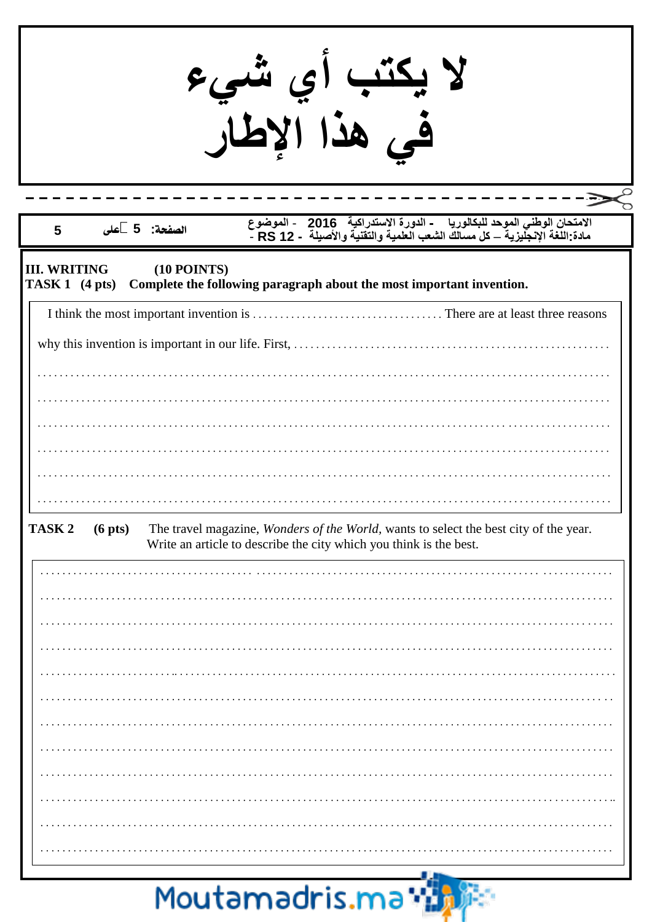|                                                 |                   |               | لا يكتب أي شيء<br>في هذا الإطار                                      |                                                                                                                                                                |
|-------------------------------------------------|-------------------|---------------|----------------------------------------------------------------------|----------------------------------------------------------------------------------------------------------------------------------------------------------------|
| 5                                               |                   | الصفحة: 5 على |                                                                      | الامتحان الوطني الموحد للبكالوريا     - الدورة الاستدراكية   2016    - الموضوع<br>مادة اللغة الإنجليزية – كل مسالك الشعب العلمية والتقنية والأصيلة  - RS 12  - |
| <b>III. WRITING</b><br>TASK 1 $(4 \text{ pts})$ |                   | $(10$ POINTS) | Complete the following paragraph about the most important invention. |                                                                                                                                                                |
|                                                 |                   |               |                                                                      |                                                                                                                                                                |
|                                                 |                   |               |                                                                      |                                                                                                                                                                |
|                                                 |                   |               |                                                                      |                                                                                                                                                                |
|                                                 |                   |               |                                                                      |                                                                                                                                                                |
|                                                 |                   |               |                                                                      |                                                                                                                                                                |
|                                                 |                   |               |                                                                      |                                                                                                                                                                |
|                                                 |                   |               |                                                                      |                                                                                                                                                                |
|                                                 |                   |               |                                                                      |                                                                                                                                                                |
| TASK <sub>2</sub>                               | $(6 \text{ pts})$ |               | Write an article to describe the city which you think is the best.   | The travel magazine, Wonders of the World, wants to select the best city of the year.                                                                          |
|                                                 |                   |               |                                                                      |                                                                                                                                                                |
|                                                 |                   |               |                                                                      |                                                                                                                                                                |
|                                                 |                   |               |                                                                      |                                                                                                                                                                |
|                                                 |                   |               |                                                                      |                                                                                                                                                                |
|                                                 |                   |               |                                                                      |                                                                                                                                                                |
|                                                 |                   |               |                                                                      |                                                                                                                                                                |
|                                                 |                   |               |                                                                      |                                                                                                                                                                |
|                                                 |                   |               |                                                                      |                                                                                                                                                                |
|                                                 |                   |               |                                                                      |                                                                                                                                                                |
|                                                 |                   |               |                                                                      |                                                                                                                                                                |
|                                                 |                   |               |                                                                      |                                                                                                                                                                |
|                                                 |                   |               |                                                                      |                                                                                                                                                                |
|                                                 |                   |               |                                                                      |                                                                                                                                                                |

## Moutamadris.ma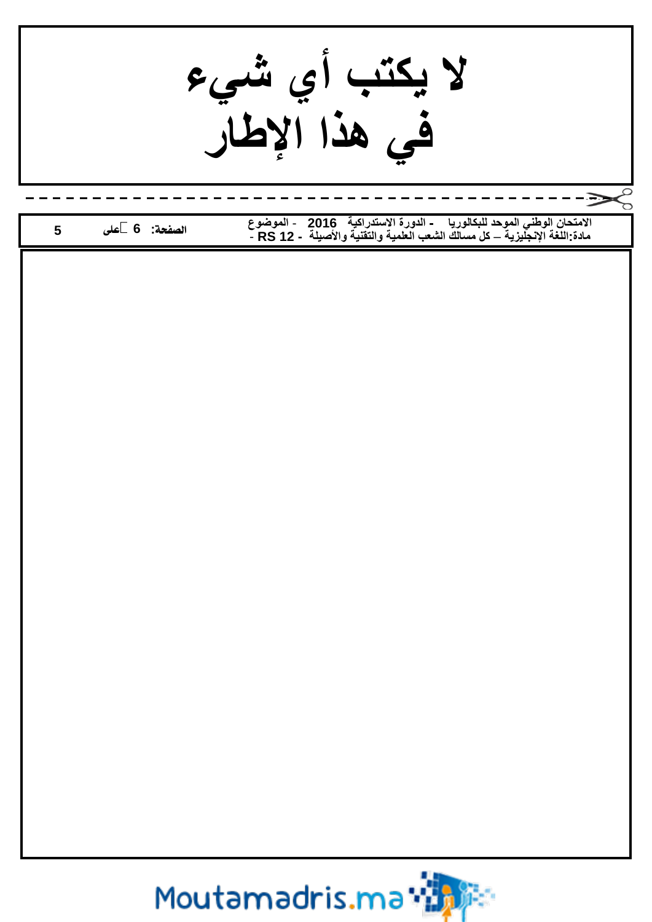**ال يكتب أي شيء في هذا اإلطار االمتحان الوطني الموحد للبكالوريا - الدورة االتستدرايية 2016** - **الموضوع الصفحة: 6 على 5 مادة:اللغة اإلنجليزية** – **يل مسالك الشعب العلمية والتقنية واألصيلة - 12 RS** -Moutamadris.ma\*满